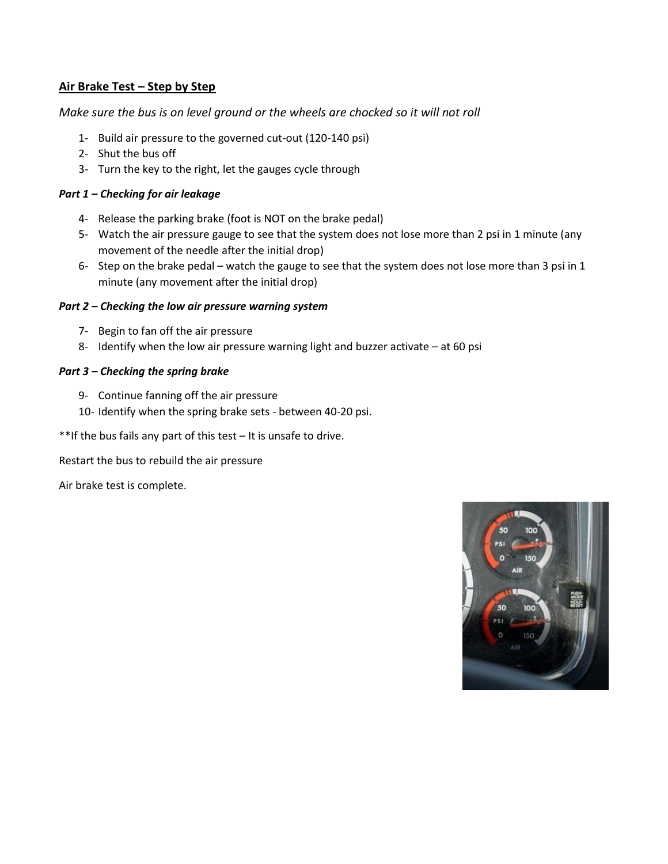### **Air Brake Test – Step by Step**

*Make sure the bus is on level ground or the wheels are chocked so it will not roll*

- 1- Build air pressure to the governed cut-out (120-140 psi)
- 2- Shut the bus off
- 3- Turn the key to the right, let the gauges cycle through

### *Part 1 – Checking for air leakage*

- 4- Release the parking brake (foot is NOT on the brake pedal)
- 5- Watch the air pressure gauge to see that the system does not lose more than 2 psi in 1 minute (any movement of the needle after the initial drop)
- 6- Step on the brake pedal watch the gauge to see that the system does not lose more than 3 psi in 1 minute (any movement after the initial drop)

#### *Part 2 – Checking the low air pressure warning system*

- 7- Begin to fan off the air pressure
- 8- Identify when the low air pressure warning light and buzzer activate at 60 psi

#### *Part 3 – Checking the spring brake*

- 9- Continue fanning off the air pressure
- 10- Identify when the spring brake sets between 40-20 psi.

\*\*If the bus fails any part of this test – It is unsafe to drive.

Restart the bus to rebuild the air pressure

Air brake test is complete.